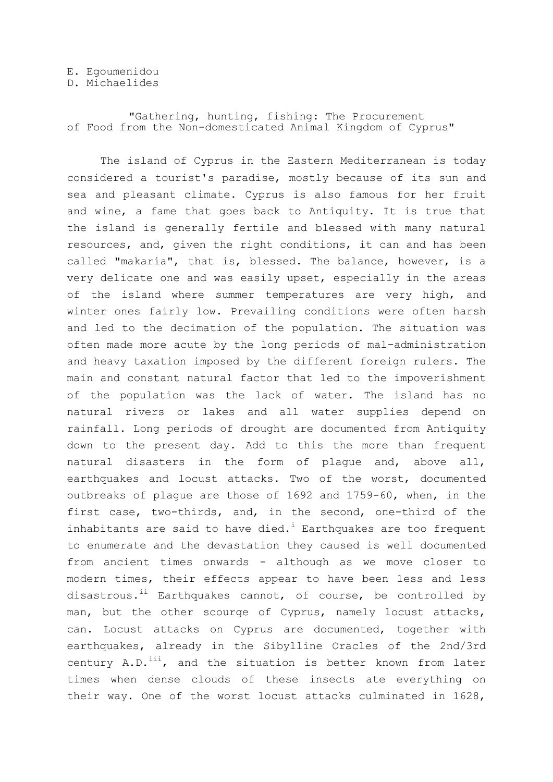## E. Egoumenidou

## D. Michaelides

"Gathering, hunting, fishing: The Procurement of Food from the Non-domesticated Animal Kingdom of Cyprus"

The island of Cyprus in the Eastern Mediterranean is today considered a tourist's paradise, mostly because of its sun and sea and pleasant climate. Cyprus is also famous for her fruit and wine, a fame that goes back to Antiquity. It is true that the island is generally fertile and blessed with many natural resources, and, given the right conditions, it can and has been called "makaria", that is, blessed. The balance, however, is a very delicate one and was easily upset, especially in the areas of the island where summer temperatures are very high, and winter ones fairly low. Prevailing conditions were often harsh and led to the decimation of the population. The situation was often made more acute by the long periods of mal-administration and heavy taxation imposed by the different foreign rulers. The main and constant natural factor that led to the impoverishment of the population was the lack of water. The island has no natural rivers or lakes and all water supplies depend on rainfall. Long periods of drought are documented from Antiquity down to the present day. Add to this the more than frequent natural disasters in the form of plague and, above all, earthquakes and locust attacks. Two of the worst, documented outbreaks of plague are those of 1692 and 1759-60, when, in the first case, two-thirds, and, in the second, one-third of the inhabitants are said to have died.<sup>i</sup> Earthquakes are too frequent to enumerate and the devastation they caused is well documented from ancient times onwards - although as we move closer to modern times, their effects appear to have been less and less disastrous.<sup>ii</sup> Earthquakes cannot, of course, be controlled by man, but the other scourge of Cyprus, namely locust attacks, can. Locust attacks on Cyprus are documented, together with earthquakes, already in the Sibylline Oracles of the 2nd/3rd century  $A.D.$ <sup>iii</sup>, and the situation is better known from later times when dense clouds of these insects ate everything on their way. One of the worst locust attacks culminated in 1628,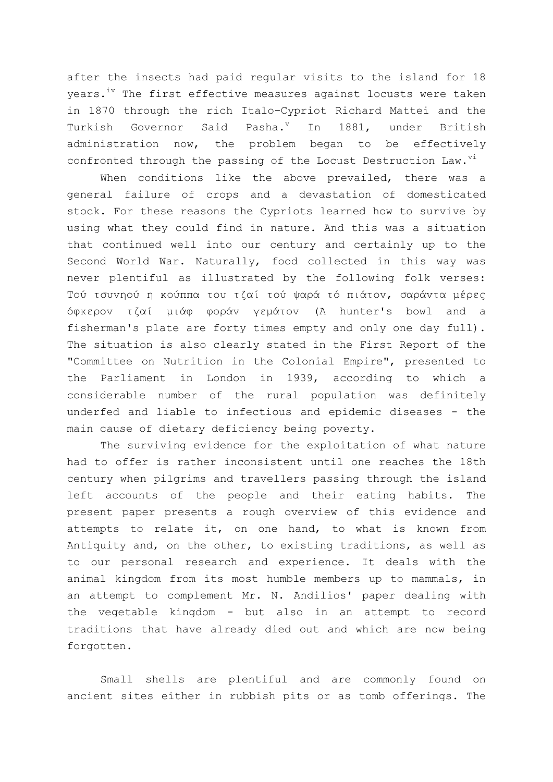after the insects had paid regular visits to the island for 18 vears.<sup>iv</sup> The first effective measures against locusts were taken in 1870 through the rich Italo-Cypriot Richard Mattei and the Turkish Governor Said Pasha.<sup>v</sup> In 1881, under British administration now, the problem began to be effectively confronted through the passing of the Locust Destruction Law.<sup>vi</sup>

When conditions like the above prevailed, there was a general failure of crops and a devastation of domesticated stock. For these reasons the Cypriots learned how to survive by using what they could find in nature. And this was a situation that continued well into our century and certainly up to the Second World War. Naturally, food collected in this way was never plentiful as illustrated by the following folk verses: Τού τσυνηού η κούππα του τζαί τού ψαρά τό πιάτον, σαράντα μέρες όθκερov ηζαί μιάθ θoράv γεμάηov (A hunter's bowl and a fisherman's plate are forty times empty and only one day full). The situation is also clearly stated in the First Report of the "Committee on Nutrition in the Colonial Empire", presented to the Parliament in London in 1939, according to which a considerable number of the rural population was definitely underfed and liable to infectious and epidemic diseases - the main cause of dietary deficiency being poverty.

The surviving evidence for the exploitation of what nature had to offer is rather inconsistent until one reaches the 18th century when pilgrims and travellers passing through the island left accounts of the people and their eating habits. The present paper presents a rough overview of this evidence and attempts to relate it, on one hand, to what is known from Antiquity and, on the other, to existing traditions, as well as to our personal research and experience. It deals with the animal kingdom from its most humble members up to mammals, in an attempt to complement Mr. N. Andilios' paper dealing with the vegetable kingdom - but also in an attempt to record traditions that have already died out and which are now being forgotten.

Small shells are plentiful and are commonly found on ancient sites either in rubbish pits or as tomb offerings. The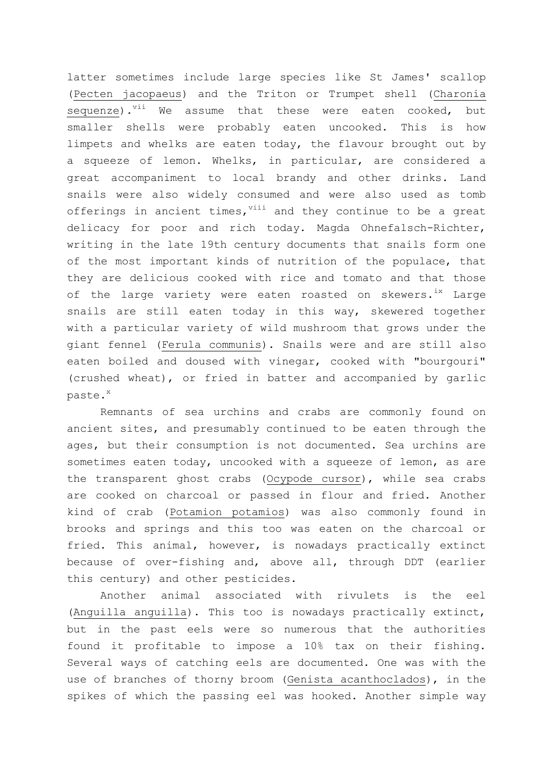latter sometimes include large species like St James' scallop (Pecten jacopaeus) and the Triton or Trumpet shell (Charonia sequenze).<sup>vii</sup> We assume that these were eaten cooked, but smaller shells were probably eaten uncooked. This is how limpets and whelks are eaten today, the flavour brought out by a squeeze of lemon. Whelks, in particular, are considered a great accompaniment to local brandy and other drinks. Land snails were also widely consumed and were also used as tomb offerings in ancient times,  $\frac{1}{10}$  and they continue to be a great delicacy for poor and rich today. Magda Ohnefalsch-Richter, writing in the late 19th century documents that snails form one of the most important kinds of nutrition of the populace, that they are delicious cooked with rice and tomato and that those of the large variety were eaten roasted on skewers.<sup>ix</sup> Large snails are still eaten today in this way, skewered together with a particular variety of wild mushroom that grows under the giant fennel (Ferula communis). Snails were and are still also eaten boiled and doused with vinegar, cooked with "bourgouri" (crushed wheat), or fried in batter and accompanied by garlic paste.<sup>x</sup>

Remnants of sea urchins and crabs are commonly found on ancient sites, and presumably continued to be eaten through the ages, but their consumption is not documented. Sea urchins are sometimes eaten today, uncooked with a squeeze of lemon, as are the transparent ghost crabs (Ocypode cursor), while sea crabs are cooked on charcoal or passed in flour and fried. Another kind of crab (Potamion potamios) was also commonly found in brooks and springs and this too was eaten on the charcoal or fried. This animal, however, is nowadays practically extinct because of over-fishing and, above all, through DDT (earlier this century) and other pesticides.

Another animal associated with rivulets is the eel (Anguilla anguilla). This too is nowadays practically extinct, but in the past eels were so numerous that the authorities found it profitable to impose a 10% tax on their fishing. Several ways of catching eels are documented. One was with the use of branches of thorny broom (Genista acanthoclados), in the spikes of which the passing eel was hooked. Another simple way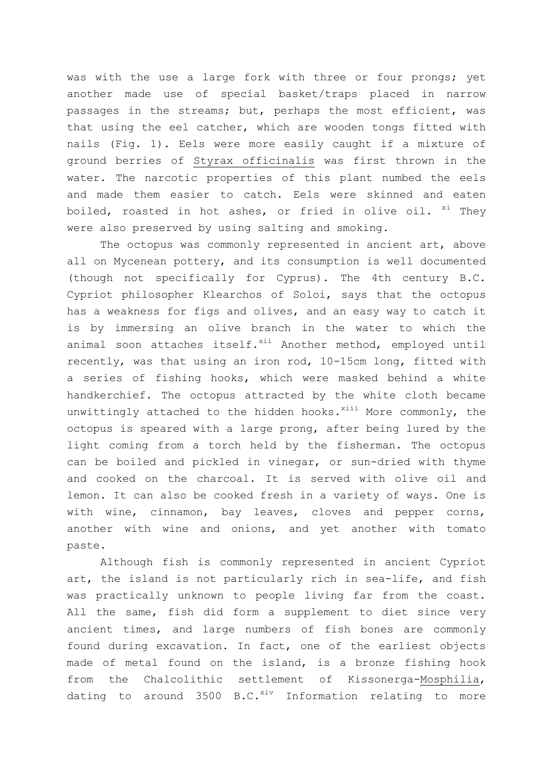was with the use a large fork with three or four prongs; yet another made use of special basket/traps placed in narrow passages in the streams; but, perhaps the most efficient, was that using the eel catcher, which are wooden tongs fitted with nails (Fig. 1). Eels were more easily caught if a mixture of ground berries of Styrax officinalis was first thrown in the water. The narcotic properties of this plant numbed the eels and made them easier to catch. Eels were skinned and eaten boiled, roasted in hot ashes, or fried in olive oil. <sup>xi</sup> They were also preserved by using salting and smoking.

The octopus was commonly represented in ancient art, above all on Mycenean pottery, and its consumption is well documented (though not specifically for Cyprus). The 4th century B.C. Cypriot philosopher Klearchos of Soloi, says that the octopus has a weakness for figs and olives, and an easy way to catch it is by immersing an olive branch in the water to which the animal soon attaches itself.<sup>xii</sup> Another method, employed until recently, was that using an iron rod, 10-15cm long, fitted with a series of fishing hooks, which were masked behind a white handkerchief. The octopus attracted by the white cloth became unwittingly attached to the hidden hooks. $^{xiii}$  More commonly, the octopus is speared with a large prong, after being lured by the light coming from a torch held by the fisherman. The octopus can be boiled and pickled in vinegar, or sun-dried with thyme and cooked on the charcoal. It is served with olive oil and lemon. It can also be cooked fresh in a variety of ways. One is with wine, cinnamon, bay leaves, cloves and pepper corns, another with wine and onions, and yet another with tomato paste.

Although fish is commonly represented in ancient Cypriot art, the island is not particularly rich in sea-life, and fish was practically unknown to people living far from the coast. All the same, fish did form a supplement to diet since very ancient times, and large numbers of fish bones are commonly found during excavation. In fact, one of the earliest objects made of metal found on the island, is a bronze fishing hook from the Chalcolithic settlement of Kissonerga-Mosphilia, dating to around  $3500$  B.C.<sup>xiv</sup> Information relating to more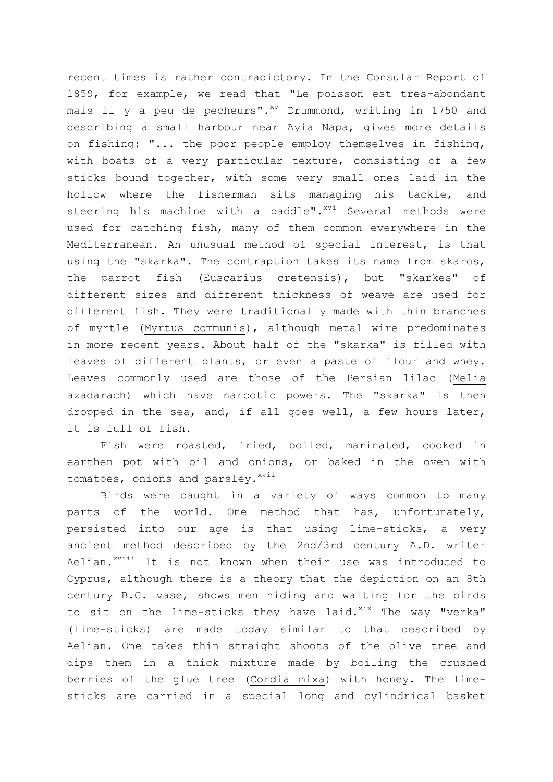recent times is rather contradictory. In the Consular Report of 1859, for example, we read that "Le poisson est tres-abondant mais il y a peu de pecheurs". $^{xy}$  Drummond, writing in 1750 and describing a small harbour near Ayia Napa, gives more details on fishing: "... the poor people employ themselves in fishing, with boats of a very particular texture, consisting of a few sticks bound together, with some very small ones laid in the hollow where the fisherman sits managing his tackle, and steering his machine with a paddle".<sup>xvi</sup> Several methods were used for catching fish, many of them common everywhere in the Mediterranean. An unusual method of special interest, is that using the "skarka". The contraption takes its name from skaros, the parrot fish (Euscarius cretensis), but "skarkes" of different sizes and different thickness of weave are used for different fish. They were traditionally made with thin branches of myrtle (Myrtus communis), although metal wire predominates in more recent years. About half of the "skarka" is filled with leaves of different plants, or even a paste of flour and whey. Leaves commonly used are those of the Persian lilac (Melia azadarach) which have narcotic powers. The "skarka" is then dropped in the sea, and, if all goes well, a few hours later, it is full of fish.

Fish were roasted, fried, boiled, marinated, cooked in earthen pot with oil and onions, or baked in the oven with tomatoes, onions and parsley. xvii

Birds were caught in a variety of ways common to many parts of the world. One method that has, unfortunately, persisted into our age is that using lime-sticks, a very ancient method described by the 2nd/3rd century A.D. writer Aelian.<sup>xviii</sup> It is not known when their use was introduced to Cyprus, although there is a theory that the depiction on an 8th century B.C. vase, shows men hiding and waiting for the birds to sit on the lime-sticks they have laid. $x^{i}$  The way "verka" (lime-sticks) are made today similar to that described by Aelian. One takes thin straight shoots of the olive tree and dips them in a thick mixture made by boiling the crushed berries of the glue tree (Cordia mixa) with honey. The limesticks are carried in a special long and cylindrical basket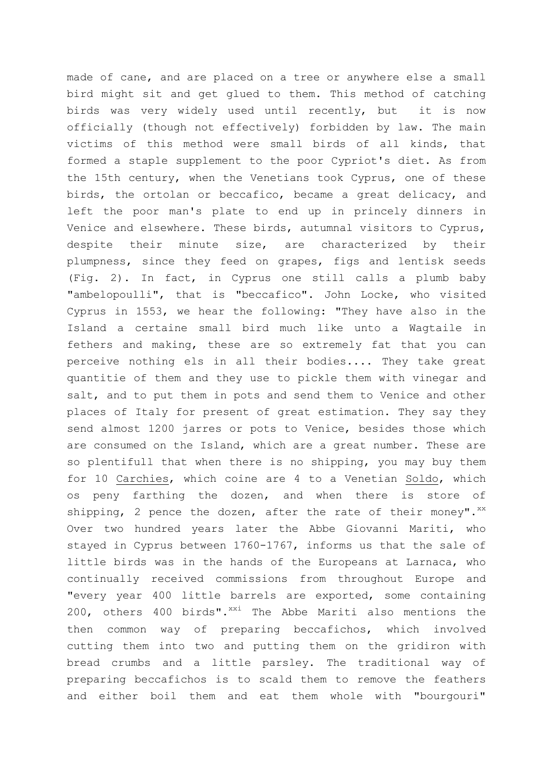made of cane, and are placed on a tree or anywhere else a small bird might sit and get glued to them. This method of catching birds was very widely used until recently, but it is now officially (though not effectively) forbidden by law. The main victims of this method were small birds of all kinds, that formed a staple supplement to the poor Cypriot's diet. As from the 15th century, when the Venetians took Cyprus, one of these birds, the ortolan or beccafico, became a great delicacy, and left the poor man's plate to end up in princely dinners in Venice and elsewhere. These birds, autumnal visitors to Cyprus, despite their minute size, are characterized by their plumpness, since they feed on grapes, figs and lentisk seeds (Fig. 2). In fact, in Cyprus one still calls a plumb baby "ambelopoulli", that is "beccafico". John Locke, who visited Cyprus in 1553, we hear the following: "They have also in the Island a certaine small bird much like unto a Wagtaile in fethers and making, these are so extremely fat that you can perceive nothing els in all their bodies.... They take great quantitie of them and they use to pickle them with vinegar and salt, and to put them in pots and send them to Venice and other places of Italy for present of great estimation. They say they send almost 1200 jarres or pots to Venice, besides those which are consumed on the Island, which are a great number. These are so plentifull that when there is no shipping, you may buy them for 10 Carchies, which coine are 4 to a Venetian Soldo, which os peny farthing the dozen, and when there is store of shipping, 2 pence the dozen, after the rate of their money". $^{xx}$ Over two hundred years later the Abbe Giovanni Mariti, who stayed in Cyprus between 1760-1767, informs us that the sale of little birds was in the hands of the Europeans at Larnaca, who continually received commissions from throughout Europe and "every year 400 little barrels are exported, some containing 200, others 400 birds". $x^{\text{xi}}$  The Abbe Mariti also mentions the then common way of preparing beccafichos, which involved cutting them into two and putting them on the gridiron with bread crumbs and a little parsley. The traditional way of preparing beccafichos is to scald them to remove the feathers and either boil them and eat them whole with "bourgouri"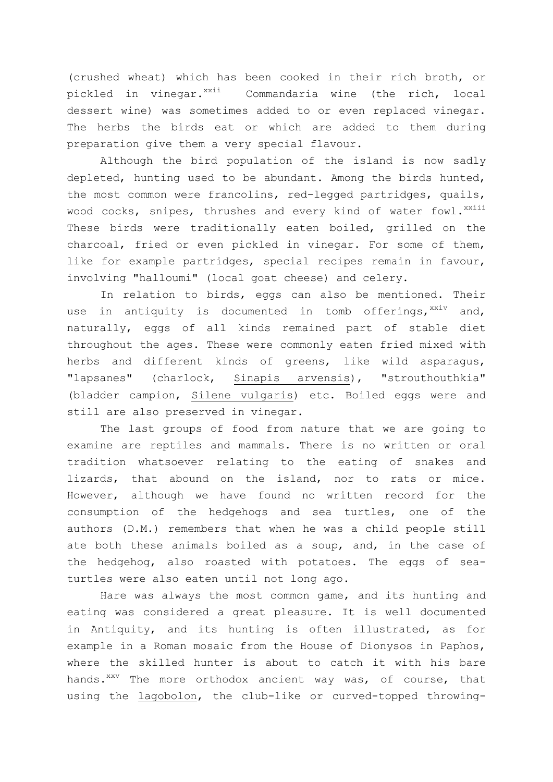(crushed wheat) which has been cooked in their rich broth, or pickled in vinegar.<sup>xxii</sup> Commandaria wine (the rich, local dessert wine) was sometimes added to or even replaced vinegar. The herbs the birds eat or which are added to them during preparation give them a very special flavour.

Although the bird population of the island is now sadly depleted, hunting used to be abundant. Among the birds hunted, the most common were francolins, red-legged partridges, quails, wood cocks, snipes, thrushes and every kind of water fowl.<sup>xxiii</sup> These birds were traditionally eaten boiled, grilled on the charcoal, fried or even pickled in vinegar. For some of them, like for example partridges, special recipes remain in favour, involving "halloumi" (local goat cheese) and celery.

In relation to birds, eggs can also be mentioned. Their use in antiquity is documented in tomb offerings, xxiv and, naturally, eggs of all kinds remained part of stable diet throughout the ages. These were commonly eaten fried mixed with herbs and different kinds of greens, like wild asparagus, "lapsanes" (charlock, Sinapis arvensis), "strouthouthkia" (bladder campion, Silene vulgaris) etc. Boiled eggs were and still are also preserved in vinegar.

The last groups of food from nature that we are going to examine are reptiles and mammals. There is no written or oral tradition whatsoever relating to the eating of snakes and lizards, that abound on the island, nor to rats or mice. However, although we have found no written record for the consumption of the hedgehogs and sea turtles, one of the authors (D.M.) remembers that when he was a child people still ate both these animals boiled as a soup, and, in the case of the hedgehog, also roasted with potatoes. The eggs of seaturtles were also eaten until not long ago.

Hare was always the most common game, and its hunting and eating was considered a great pleasure. It is well documented in Antiquity, and its hunting is often illustrated, as for example in a Roman mosaic from the House of Dionysos in Paphos, where the skilled hunter is about to catch it with his bare hands.<sup>xxv</sup> The more orthodox ancient way was, of course, that using the lagobolon, the club-like or curved-topped throwing-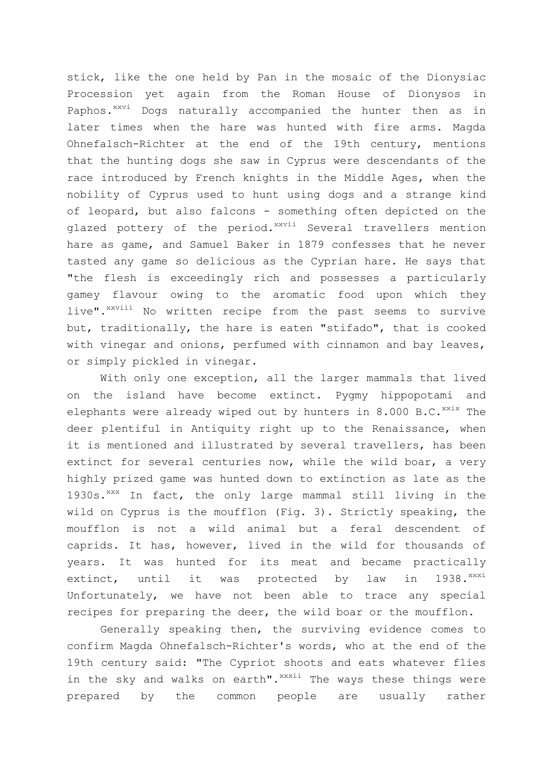stick, like the one held by Pan in the mosaic of the Dionysiac Procession yet again from the Roman House of Dionysos in Paphos.<sup>xxvi</sup> Dogs naturally accompanied the hunter then as in later times when the hare was hunted with fire arms. Magda Ohnefalsch-Richter at the end of the 19th century, mentions that the hunting dogs she saw in Cyprus were descendants of the race introduced by French knights in the Middle Ages, when the nobility of Cyprus used to hunt using dogs and a strange kind of leopard, but also falcons - something often depicted on the glazed pottery of the period. xxvii Several travellers mention hare as game, and Samuel Baker in 1879 confesses that he never tasted any game so delicious as the Cyprian hare. He says that "the flesh is exceedingly rich and possesses a particularly gamey flavour owing to the aromatic food upon which they live".<sup>xxviii</sup> No written recipe from the past seems to survive but, traditionally, the hare is eaten "stifado", that is cooked with vinegar and onions, perfumed with cinnamon and bay leaves, or simply pickled in vinegar.

With only one exception, all the larger mammals that lived on the island have become extinct. Pygmy hippopotami and elephants were already wiped out by hunters in  $8.000$  B.C.  $^{xxix}$  The deer plentiful in Antiquity right up to the Renaissance, when it is mentioned and illustrated by several travellers, has been extinct for several centuries now, while the wild boar, a very highly prized game was hunted down to extinction as late as the 1930s. XXX In fact, the only large mammal still living in the wild on Cyprus is the moufflon (Fig. 3). Strictly speaking, the moufflon is not a wild animal but a feral descendent of caprids. It has, however, lived in the wild for thousands of years. It was hunted for its meat and became practically extinct, until it was protected by  $law$  in 1938. $x^{xxxi}$ Unfortunately, we have not been able to trace any special recipes for preparing the deer, the wild boar or the moufflon.

Generally speaking then, the surviving evidence comes to confirm Magda Ohnefalsch-Richter's words, who at the end of the 19th century said: "The Cypriot shoots and eats whatever flies in the sky and walks on earth". XXXii The ways these things were prepared by the common people are usually rather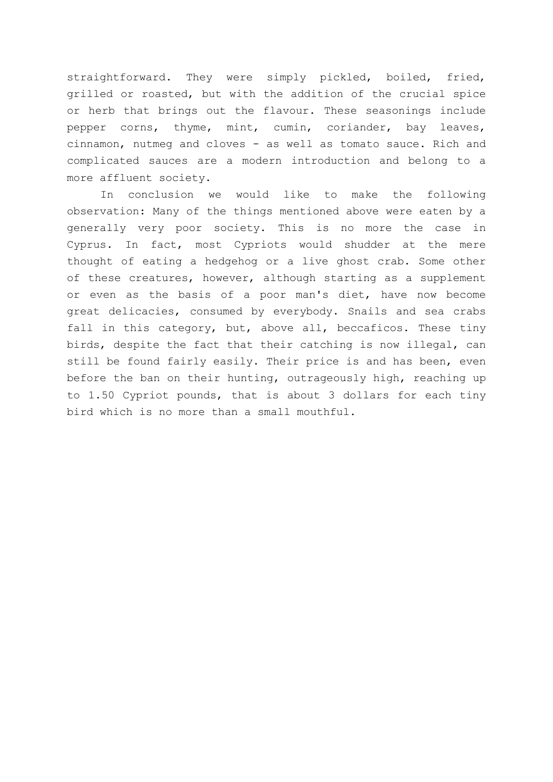straightforward. They were simply pickled, boiled, fried, grilled or roasted, but with the addition of the crucial spice or herb that brings out the flavour. These seasonings include pepper corns, thyme, mint, cumin, coriander, bay leaves, cinnamon, nutmeg and cloves - as well as tomato sauce. Rich and complicated sauces are a modern introduction and belong to a more affluent society.

In conclusion we would like to make the following observation: Many of the things mentioned above were eaten by a generally very poor society. This is no more the case in Cyprus. In fact, most Cypriots would shudder at the mere thought of eating a hedgehog or a live ghost crab. Some other of these creatures, however, although starting as a supplement or even as the basis of a poor man's diet, have now become great delicacies, consumed by everybody. Snails and sea crabs fall in this category, but, above all, beccaficos. These tiny birds, despite the fact that their catching is now illegal, can still be found fairly easily. Their price is and has been, even before the ban on their hunting, outrageously high, reaching up to 1.50 Cypriot pounds, that is about 3 dollars for each tiny bird which is no more than a small mouthful.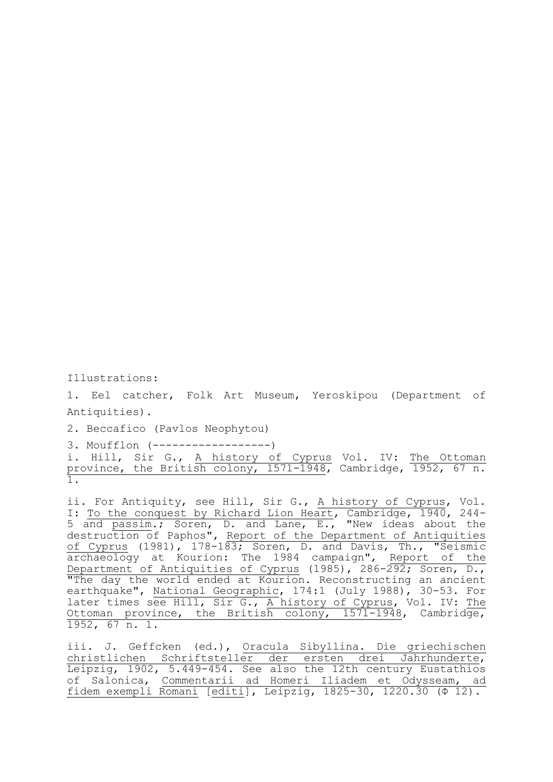Illustrations:

1. Eel catcher, Folk Art Museum, Yeroskipou (Department of Antiquities).

2. Beccafico (Pavlos Neophytou)

3. Moufflon (------------------)

i. Hill, Sir G., A history of Cyprus Vol. IV: The Ottoman province, the British colony, 1571-1948, Cambridge, 1952, 67 n. 1.

ii. For Antiquity, see Hill, Sir G., A history of Cyprus, Vol. I: To the conquest by Richard Lion Heart, Cambridge, 1940, 244- 5 and passim.; Soren, D. and Lane, E., "New ideas about the destruction of Paphos", Report of the Department of Antiquities of Cyprus (1981), 178-183; Soren, D. and Davis, Th., "Seismic archaeology at Kourion: The 1984 campaign", Report of the Department of Antiquities of Cyprus (1985), 286-292; Soren, D., "The day the world ended at Kourion. Reconstructing an ancient earthquake", National Geographic, 174:1 (July 1988), 30-53. For later times see Hill, Sir G., A history of Cyprus, Vol. IV: The Ottoman province, the British colony, 1571-1948, Cambridge, 1952, 67 n. 1.

iii. J. Geffcken (ed.), Oracula Sibyllina. Die griechischen christlichen Schriftsteller der ersten drei Jahrhunderte, Leipzig, 1902, 5.449-454. See also the 12th century Eustathios of Salonica, Commentarii ad Homeri Iliadem et Odysseam, ad fidem exempli Romani [editi], Leipzig, 1825-30, 1220.30 (Φ 12).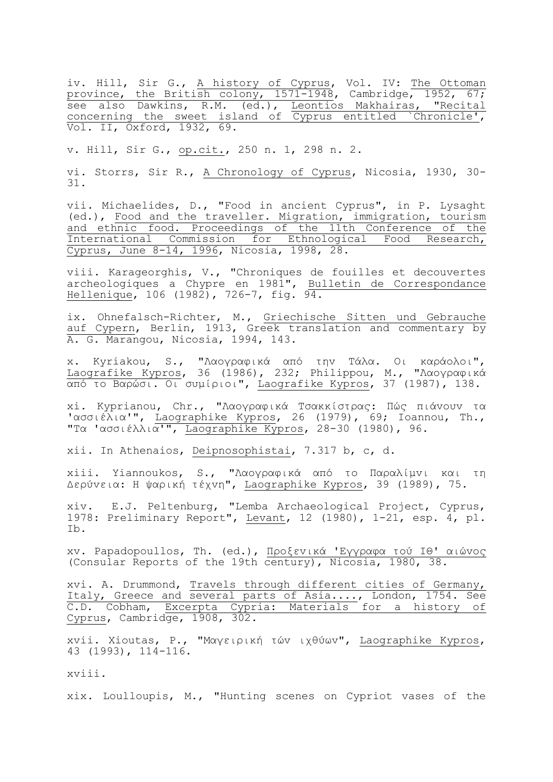iv. Hill, Sir G., A history of Cyprus, Vol. IV: The Ottoman province, the British colony, 1571-1948, Cambridge, 1952, 67; see also Dawkins, R.M. (ed.), Leontios Makhairas, "Recital concerning the sweet island of Cyprus entitled `Chronicle', Vol. II, Oxford, 1932, 69.

v. Hill, Sir G., op.cit., 250 n. 1, 298 n. 2.

vi. Storrs, Sir R., A Chronology of Cyprus, Nicosia, 1930, 30- 31.

vii. Michaelides, D., "Food in ancient Cyprus", in P. Lysaght (ed.), Food and the traveller. Migration, immigration, tourism and ethnic food. Proceedings of the 11th Conference of the International Commission for Ethnological Food Research, Cyprus, June 8-14, 1996, Nicosia, 1998, 28.

viii. Karageorghis, V., "Chroniques de fouilles et decouvertes archeologiques a Chypre en 1981", Bulletin de Correspondance Hellenique, 106 (1982), 726-7, fig. 94.

ix. Ohnefalsch-Richter, M., Griechische Sitten und Gebrauche auf Cypern, Berlin, 1913, Greek translation and commentary by A. G. Marangou, Nicosia, 1994, 143.

x. Kyriakou, S., "Λαoγραθικά από ηηv Τάλα. Οι καράoλoι", Laografike Kypros, 36 (1986), 232; Philippou, M., "Λαoγραθικά από ηo Βαρώζι. Οι ζσμίριoι", Laografike Kypros, 37 (1987), 138.

xi. Kyprianou, Chr., "Λαογραφικά Τσακκίστρας: Πώς πιάνουν τα 'ασσιέλια'", Laographike Kypros, 26 (1979), 69; Ioannou, Th., "Τα 'ασσιέλλια'", Laographike Kypros, 28-30 (1980), 96.

xii. In Athenaios, Deipnosophistai, 7.317 b, c, d.

xiii. Yiannoukos, S., "Λαογραφικά από το Παραλίμνι και τη Δερύνεια: Η ψαρική τέχνη", Laographike Kypros, 39 (1989), 75.

xiv. E.J. Peltenburg, "Lemba Archaeological Project, Cyprus, 1978: Preliminary Report", Levant, 12 (1980), 1-21, esp. 4, pl. Ib.

xv. Papadopoullos, Th. (ed.), Προξενικά 'Εγγραφα τού ΙΘ' αιώνος (Consular Reports of the 19th century), Nicosia, 1980, 38.

xvi. A. Drummond, Travels through different cities of Germany, Italy, Greece and several parts of Asia...., London, 1754. See C.D. Cobham, Excerpta Cypria: Materials for a history of Cyprus, Cambridge, 1908, 302.

xvii. Xioutas, P., "Μαγειρική ηώv ιτθύφv", Laographike Kypros, 43 (1993), 114-116.

xviii.

xix. Loulloupis, M., "Hunting scenes on Cypriot vases of the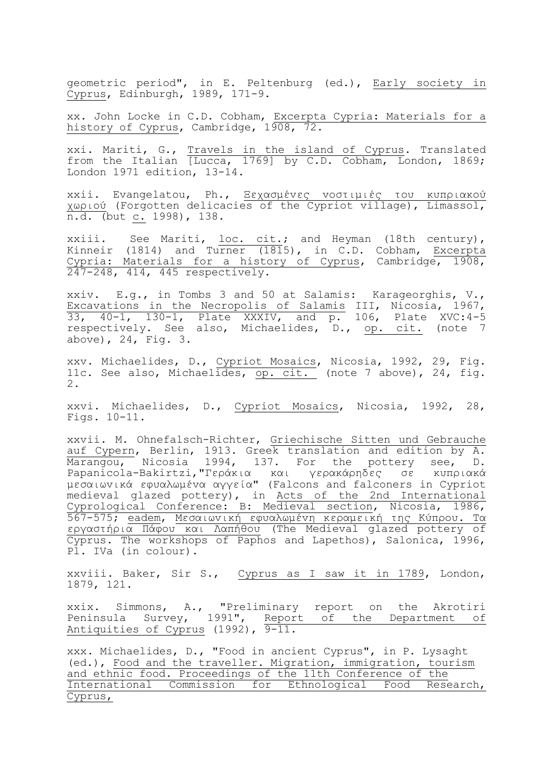geometric period", in E. Peltenburg (ed.), Early society in Cyprus, Edinburgh, 1989, 171-9.

xx. John Locke in C.D. Cobham, Excerpta Cypria: Materials for a history of Cyprus, Cambridge, 1908, 72.

xxi. Mariti, G., Travels in the island of Cyprus. Translated from the Italian [Lucca, 1769] by C.D. Cobham, London, 1869; London 1971 edition, 13-14.

xxii. Evangelatou, Ph., Ξεχασμένες νοστιμιές του κυπριακού χωριού (Forgotten delicacies of the Cypriot village), Limassol, n.d. (but c. 1998), 138.

xxiii. See Mariti, loc. cit.; and Heyman (18th century), Kinneir (1814) and Turner (1815), in C.D. Cobham, Excerpta Cypria: Materials for a history of Cyprus, Cambridge, 1908, 247-248, 414, 445 respectively.

xxiv. E.g., in Tombs 3 and 50 at Salamis: Karageorghis, V., Excavations in the Necropolis of Salamis III, Nicosia, 1967, 33, 40-1, 130-1, Plate XXXIV, and p. 106, Plate XVC:4-5 respectively. See also, Michaelides, D., op. cit. (note 7 above), 24, Fig. 3.

xxv. Michaelides, D., Cypriot Mosaics, Nicosia, 1992, 29, Fig. 11c. See also, Michaelides, op. cit. (note 7 above), 24, fig. 2.

xxvi. Michaelides, D., Cypriot Mosaics, Nicosia, 1992, 28, Figs. 10-11.

xxvii. M. Ohnefalsch-Richter, Griechische Sitten und Gebrauche auf Cypern, Berlin, 1913. Greek translation and edition by A. Marangou, Nicosia 1994, 137. For the pottery see, D. Papanicola-Bakirtzi,"Γεράκια και γερακάρηδες σε κυπριακά μεσαιωνικά εφυαλωμένα αγγεία" (Falcons and falconers in Cypriot medieval glazed pottery), in Acts of the 2nd International Cyprological Conference: B: Medieval section, Nicosia, 1986, 567-575; eadem, Μεσαιωνική εφυαλωμένη κεραμεική της Κύπρου. Τα εργαστήρια Πάφου και Λαπήθου (The Medieval glazed pottery of Cyprus. The workshops of Paphos and Lapethos), Salonica, 1996, Pl. IVa (in colour).

xxviii. Baker, Sir S., Cyprus as I saw it in 1789, London, 1879, 121.

xxix. Simmons, A., "Preliminary report on the Akrotiri Peninsula Survey, 1991", Report of the Department of Antiquities of Cyprus (1992), 9-11.

xxx. Michaelides, D., "Food in ancient Cyprus", in P. Lysaght (ed.), Food and the traveller. Migration, immigration, tourism and ethnic food. Proceedings of the 11th Conference of the International Commission for Ethnological Food Research, Cyprus,